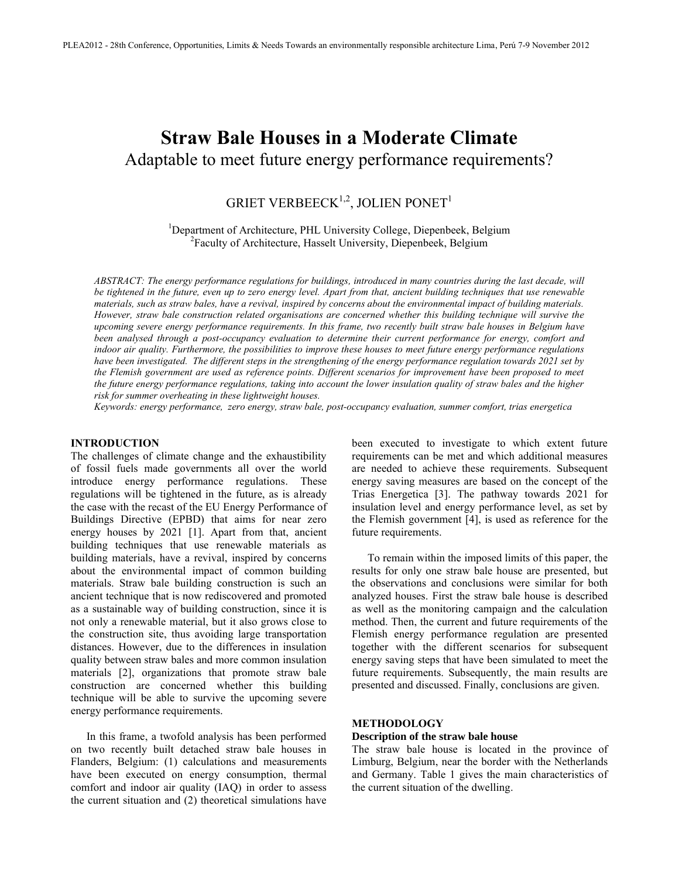# **Straw Bale Houses in a Moderate Climate** Adaptable to meet future energy performance requirements?

# GRIET VERBEECK $^{1,2},$  JOLIEN PONET $^1$

<sup>1</sup>Department of Architecture, PHL University College, Diepenbeek, Belgium 2 Faculty of Architecture, Hasselt University, Diepenbeek, Belgium

*ABSTRACT: The energy performance regulations for buildings, introduced in many countries during the last decade, will be tightened in the future, even up to zero energy level. Apart from that, ancient building techniques that use renewable materials, such as straw bales, have a revival, inspired by concerns about the environmental impact of building materials. However, straw bale construction related organisations are concerned whether this building technique will survive the upcoming severe energy performance requirements. In this frame, two recently built straw bale houses in Belgium have been analysed through a post-occupancy evaluation to determine their current performance for energy, comfort and indoor air quality. Furthermore, the possibilities to improve these houses to meet future energy performance regulations have been investigated. The different steps in the strengthening of the energy performance regulation towards 2021 set by the Flemish government are used as reference points. Different scenarios for improvement have been proposed to meet the future energy performance regulations, taking into account the lower insulation quality of straw bales and the higher risk for summer overheating in these lightweight houses.*

*Keywords: energy performance, zero energy, straw bale, post-occupancy evaluation, summer comfort, trias energetica* 

#### **INTRODUCTION**

The challenges of climate change and the exhaustibility of fossil fuels made governments all over the world introduce energy performance regulations. These regulations will be tightened in the future, as is already the case with the recast of the EU Energy Performance of Buildings Directive (EPBD) that aims for near zero energy houses by 2021 [1]. Apart from that, ancient building techniques that use renewable materials as building materials, have a revival, inspired by concerns about the environmental impact of common building materials. Straw bale building construction is such an ancient technique that is now rediscovered and promoted as a sustainable way of building construction, since it is not only a renewable material, but it also grows close to the construction site, thus avoiding large transportation distances. However, due to the differences in insulation quality between straw bales and more common insulation materials [2], organizations that promote straw bale construction are concerned whether this building technique will be able to survive the upcoming severe energy performance requirements.

In this frame, a twofold analysis has been performed on two recently built detached straw bale houses in Flanders, Belgium: (1) calculations and measurements have been executed on energy consumption, thermal comfort and indoor air quality (IAQ) in order to assess the current situation and (2) theoretical simulations have been executed to investigate to which extent future requirements can be met and which additional measures are needed to achieve these requirements. Subsequent energy saving measures are based on the concept of the Trias Energetica [3]. The pathway towards 2021 for insulation level and energy performance level, as set by the Flemish government [4], is used as reference for the future requirements.

To remain within the imposed limits of this paper, the results for only one straw bale house are presented, but the observations and conclusions were similar for both analyzed houses. First the straw bale house is described as well as the monitoring campaign and the calculation method. Then, the current and future requirements of the Flemish energy performance regulation are presented together with the different scenarios for subsequent energy saving steps that have been simulated to meet the future requirements. Subsequently, the main results are presented and discussed. Finally, conclusions are given.

#### **METHODOLOGY**

#### **Description of the straw bale house**

The straw bale house is located in the province of Limburg, Belgium, near the border with the Netherlands and Germany. Table 1 gives the main characteristics of the current situation of the dwelling.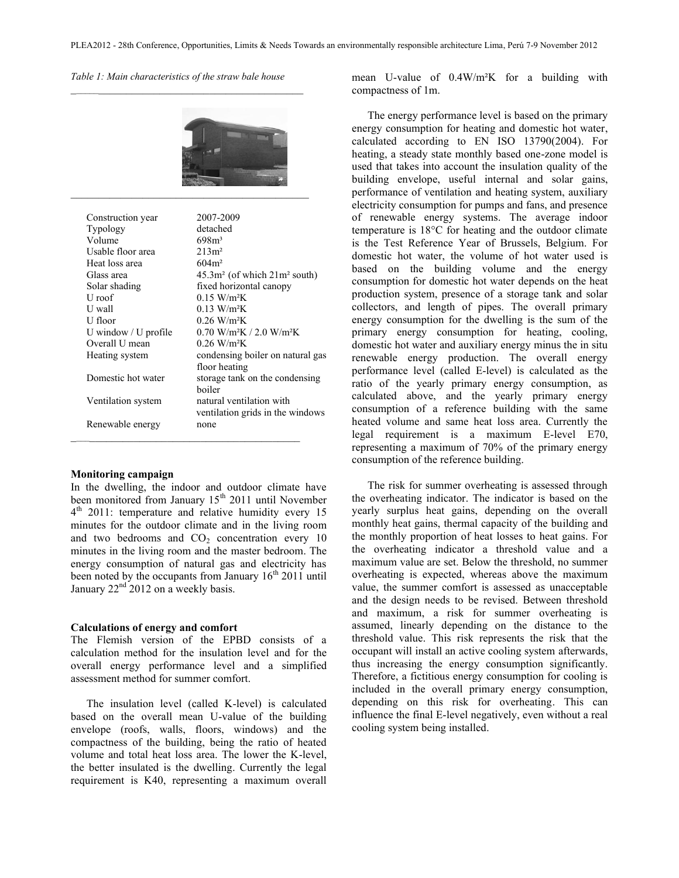*Table 1: Main characteristics of the straw bale house*  $\mathcal{L}_\text{max}$  and  $\mathcal{L}_\text{max}$  and  $\mathcal{L}_\text{max}$  and  $\mathcal{L}_\text{max}$  and  $\mathcal{L}_\text{max}$ 



| Construction year         | 2007-2009                                          |
|---------------------------|----------------------------------------------------|
| Typology                  | detached                                           |
| Volume                    | $698m^3$                                           |
| Usable floor area         | $213m^2$                                           |
| Heat loss area            | 604m <sup>2</sup>                                  |
| Glass area                | $45.3m2$ (of which $21m2$ south)                   |
| Solar shading             | fixed horizontal canopy                            |
| U roof                    | $0.15$ W/m <sup>2</sup> K                          |
| U wall                    | $0.13$ W/m <sup>2</sup> K                          |
| U floor                   | $0.26$ W/m <sup>2</sup> K                          |
| U window $\ell$ U profile | $0.70$ W/m <sup>2</sup> K / 2.0 W/m <sup>2</sup> K |
| Overall U mean            | $0.26$ W/m <sup>2</sup> K                          |
| Heating system            | condensing boiler on natural gas                   |
|                           | floor heating                                      |
| Domestic hot water        | storage tank on the condensing                     |
|                           | boiler                                             |
| Ventilation system        | natural ventilation with                           |
|                           | ventilation grids in the windows                   |
| Renewable energy          | none                                               |
|                           |                                                    |

# **Monitoring campaign**

In the dwelling, the indoor and outdoor climate have been monitored from January 15<sup>th</sup> 2011 until November 4<sup>th</sup> 2011: temperature and relative humidity every 15 minutes for the outdoor climate and in the living room and two bedrooms and  $CO<sub>2</sub>$  concentration every 10 minutes in the living room and the master bedroom. The energy consumption of natural gas and electricity has been noted by the occupants from January  $16<sup>th</sup> 2011$  until January  $22<sup>nd</sup>$  2012 on a weekly basis.

#### **Calculations of energy and comfort**

The Flemish version of the EPBD consists of a calculation method for the insulation level and for the overall energy performance level and a simplified assessment method for summer comfort.

The insulation level (called K-level) is calculated based on the overall mean U-value of the building envelope (roofs, walls, floors, windows) and the compactness of the building, being the ratio of heated volume and total heat loss area. The lower the K-level, the better insulated is the dwelling. Currently the legal requirement is K40, representing a maximum overall

mean U-value of 0.4W/m²K for a building with compactness of 1m.

The energy performance level is based on the primary energy consumption for heating and domestic hot water, calculated according to EN ISO 13790(2004). For heating, a steady state monthly based one-zone model is used that takes into account the insulation quality of the building envelope, useful internal and solar gains, performance of ventilation and heating system, auxiliary electricity consumption for pumps and fans, and presence of renewable energy systems. The average indoor temperature is 18°C for heating and the outdoor climate is the Test Reference Year of Brussels, Belgium. For domestic hot water, the volume of hot water used is based on the building volume and the energy consumption for domestic hot water depends on the heat production system, presence of a storage tank and solar collectors, and length of pipes. The overall primary energy consumption for the dwelling is the sum of the primary energy consumption for heating, cooling, domestic hot water and auxiliary energy minus the in situ renewable energy production. The overall energy performance level (called E-level) is calculated as the ratio of the yearly primary energy consumption, as calculated above, and the yearly primary energy consumption of a reference building with the same heated volume and same heat loss area. Currently the legal requirement is a maximum E-level E70, representing a maximum of 70% of the primary energy consumption of the reference building.

The risk for summer overheating is assessed through the overheating indicator. The indicator is based on the yearly surplus heat gains, depending on the overall monthly heat gains, thermal capacity of the building and the monthly proportion of heat losses to heat gains. For the overheating indicator a threshold value and a maximum value are set. Below the threshold, no summer overheating is expected, whereas above the maximum value, the summer comfort is assessed as unacceptable and the design needs to be revised. Between threshold and maximum, a risk for summer overheating is assumed, linearly depending on the distance to the threshold value. This risk represents the risk that the occupant will install an active cooling system afterwards, thus increasing the energy consumption significantly. Therefore, a fictitious energy consumption for cooling is included in the overall primary energy consumption, depending on this risk for overheating. This can influence the final E-level negatively, even without a real cooling system being installed.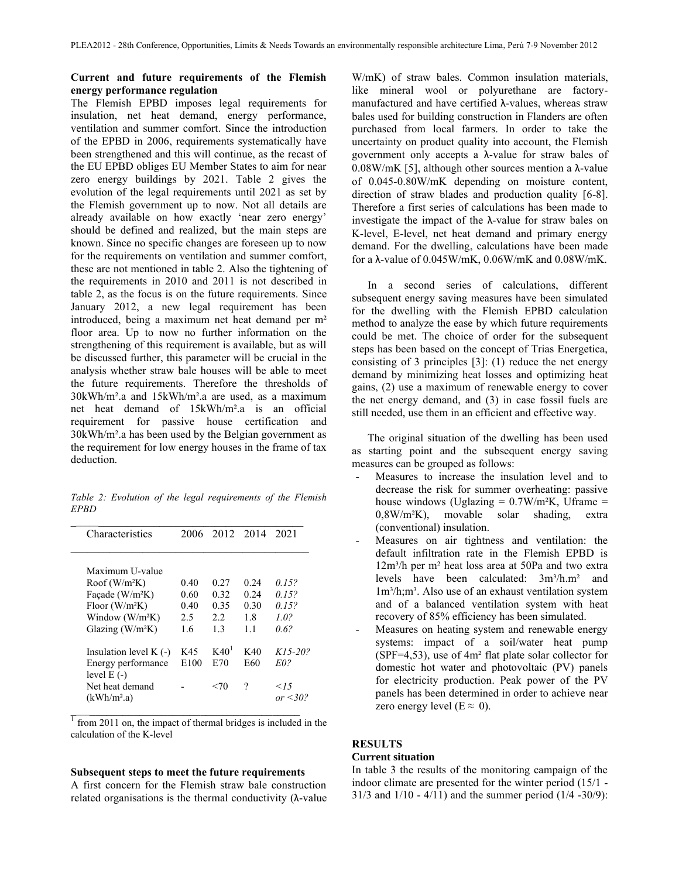# **Current and future requirements of the Flemish energy performance regulation**

The Flemish EPBD imposes legal requirements for insulation, net heat demand, energy performance, ventilation and summer comfort. Since the introduction of the EPBD in 2006, requirements systematically have been strengthened and this will continue, as the recast of the EU EPBD obliges EU Member States to aim for near zero energy buildings by 2021. Table 2 gives the evolution of the legal requirements until 2021 as set by the Flemish government up to now. Not all details are already available on how exactly 'near zero energy' should be defined and realized, but the main steps are known. Since no specific changes are foreseen up to now for the requirements on ventilation and summer comfort, these are not mentioned in table 2. Also the tightening of the requirements in 2010 and 2011 is not described in table 2, as the focus is on the future requirements. Since January 2012, a new legal requirement has been introduced, being a maximum net heat demand per m² floor area. Up to now no further information on the strengthening of this requirement is available, but as will be discussed further, this parameter will be crucial in the analysis whether straw bale houses will be able to meet the future requirements. Therefore the thresholds of 30kWh/m².a and 15kWh/m².a are used, as a maximum net heat demand of 15kWh/m².a is an official requirement for passive house certification and 30kWh/m².a has been used by the Belgian government as the requirement for low energy houses in the frame of tax deduction.

*Table 2: Evolution of the legal requirements of the Flemish EPBD*

| Characteristics                            | 2006 |                  | 2012 2014 | 2021                   |
|--------------------------------------------|------|------------------|-----------|------------------------|
| Maximum U-value                            |      |                  |           |                        |
| Root(W/m <sup>2</sup> K)                   | 0.40 | 0.27             | 0.24      | 0.15?                  |
| Facade (W/m <sup>2</sup> K)                | 0.60 | 0.32             | 0.24      | 0.15?                  |
| Floor $(W/m^2K)$                           | 0.40 | 0.35             | 0.30      | 0.15?                  |
| Window $(W/m2K)$                           | 2.5  | 2.2              | 18        | 10 <sup>2</sup>        |
| Glazing $(W/m^2K)$                         | 1.6  | 13               | 11        | 0.62                   |
| Insulation level $K$ (-)                   | K45  | K40 <sup>1</sup> | K40       | $K15 - 20$ ?           |
| Energy performance<br>level $E(-)$         | E100 | E70              | E60       | E02                    |
| Net heat demand<br>(kWh/m <sup>2</sup> .a) |      | <70              | ?         | 15<br>$\alpha r < 302$ |

 $\frac{1}{1}$  from 2011 on, the impact of thermal bridges is included in the calculation of the K-level

#### **Subsequent steps to meet the future requirements**

A first concern for the Flemish straw bale construction related organisations is the thermal conductivity  $(\lambda$ -value

W/mK) of straw bales. Common insulation materials, like mineral wool or polyurethane are factorymanufactured and have certified λ-values, whereas straw bales used for building construction in Flanders are often purchased from local farmers. In order to take the uncertainty on product quality into account, the Flemish government only accepts a λ-value for straw bales of 0.08W/mK [5], although other sources mention a λ-value of 0.045-0.80W/mK depending on moisture content, direction of straw blades and production quality [6-8]. Therefore a first series of calculations has been made to investigate the impact of the  $\lambda$ -value for straw bales on K-level, E-level, net heat demand and primary energy demand. For the dwelling, calculations have been made for a λ-value of 0.045W/mK, 0.06W/mK and 0.08W/mK.

In a second series of calculations, different subsequent energy saving measures have been simulated for the dwelling with the Flemish EPBD calculation method to analyze the ease by which future requirements could be met. The choice of order for the subsequent steps has been based on the concept of Trias Energetica, consisting of 3 principles [3]: (1) reduce the net energy demand by minimizing heat losses and optimizing heat gains, (2) use a maximum of renewable energy to cover the net energy demand, and (3) in case fossil fuels are still needed, use them in an efficient and effective way.

The original situation of the dwelling has been used as starting point and the subsequent energy saving measures can be grouped as follows:

- Measures to increase the insulation level and to decrease the risk for summer overheating: passive house windows (Uglazing  $= 0.7 W/m^2K$ , Uframe  $=$ 0,8W/m²K), movable solar shading, extra (conventional) insulation.
- Measures on air tightness and ventilation: the default infiltration rate in the Flemish EPBD is  $12m<sup>3</sup>/h$  per m<sup>2</sup> heat loss area at 50Pa and two extra levels have been calculated:  $3m<sup>3</sup>/h.m<sup>2</sup>$  and  $1m<sup>3</sup>/h$ ;m<sup>3</sup>. Also use of an exhaust ventilation system and of a balanced ventilation system with heat recovery of 85% efficiency has been simulated.
- Measures on heating system and renewable energy systems: impact of a soil/water heat pump (SPF=4,53), use of 4m² flat plate solar collector for domestic hot water and photovoltaic (PV) panels for electricity production. Peak power of the PV panels has been determined in order to achieve near zero energy level ( $E \approx 0$ ).

## **RESULTS**

#### **Current situation**

In table 3 the results of the monitoring campaign of the indoor climate are presented for the winter period (15/1 - 31/3 and 1/10 - 4/11) and the summer period (1/4 -30/9):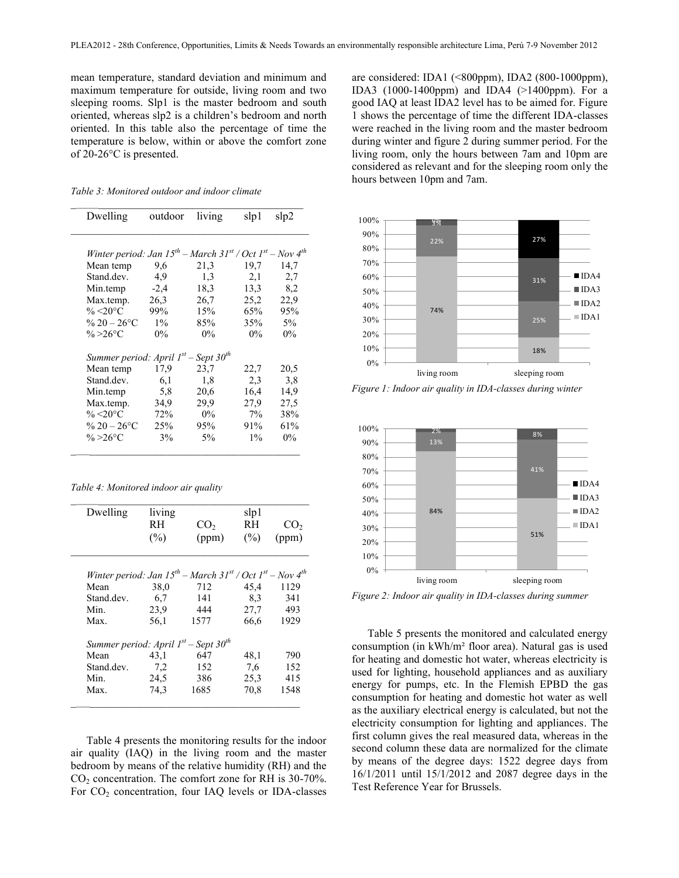mean temperature, standard deviation and minimum and maximum temperature for outside, living room and two sleeping rooms. Slp1 is the master bedroom and south oriented, whereas slp2 is a children's bedroom and north oriented. In this table also the percentage of time the temperature is below, within or above the comfort zone of 20-26°C is presented.

 $\mathcal{L}_\text{max}$  , and the set of the set of the set of the set of the set of the set of the set of the set of the set of the set of the set of the set of the set of the set of the set of the set of the set of the set of the

| Dwelling                                                                     | outdoor | living | slp 1 | slp2  |
|------------------------------------------------------------------------------|---------|--------|-------|-------|
| Winter period: Jan $15^{th}$ – March $31^{st}$ / Oct $1^{st}$ – Nov $4^{th}$ |         |        |       |       |
| Mean temp                                                                    | 9,6     | 21,3   | 19,7  | 14,7  |
| Stand.dev.                                                                   | 4.9     | 1,3    | 2,1   | 2,7   |
| Min.temp                                                                     | $-2,4$  | 18,3   | 13,3  | 8,2   |
| Max.temp.                                                                    | 26,3    | 26,7   | 25,2  | 22,9  |
| $\% < 20$ °C                                                                 | 99%     | 15%    | 65%   | 95%   |
| % $20 - 26$ °C                                                               | $1\%$   | 85%    | 35%   | $5\%$ |
| % > 26 ° C                                                                   | $0\%$   | $0\%$  | $0\%$ | $0\%$ |
| Summer period: April $1^{st}$ – Sept $30^{th}$                               |         |        |       |       |
| Mean temp                                                                    | 17.9    | 23,7   | 22,7  | 20,5  |
| Stand.dev.                                                                   | 6,1     | 1,8    | 2,3   | 3,8   |
| Min.temp                                                                     | 5,8     | 20,6   | 16,4  | 14,9  |
| Max.temp.                                                                    | 34,9    | 29.9   | 27,9  | 27.5  |
| % $\leq 20^{\circ}$ C                                                        | 72%     | $0\%$  | 7%    | 38%   |
| % $20 - 26$ °C                                                               | 25%     | 95%    | 91%   | 61%   |
| $\% > 26$ °C                                                                 | 3%      | $5\%$  | $1\%$ | $0\%$ |
|                                                                              |         |        |       |       |

| Table 4: Monitored indoor air quality |  |  |
|---------------------------------------|--|--|
|                                       |  |  |

| Dwelling                                                                     | living |                 | slp1   |                 |
|------------------------------------------------------------------------------|--------|-----------------|--------|-----------------|
|                                                                              | RH     | CO <sub>2</sub> | RH     | CO <sub>2</sub> |
|                                                                              | $(\%)$ | (ppm)           | $(\%)$ | (ppm)           |
| Winter period: Jan $15^{th}$ – March $31^{st}$ / Oct $1^{st}$ – Nov $4^{th}$ |        |                 |        |                 |
| Mean                                                                         | 38,0   | 712             | 45,4   | 1129            |
| Stand.dev.                                                                   | 6,7    | 141             | 8.3    | 341             |
| Min.                                                                         | 23.9   | 444             | 27,7   | 493             |
| Max.                                                                         | 56,1   | 1577            | 66,6   | 1929            |
| Summer period: April $1^{st}$ – Sept 30 <sup>th</sup>                        |        |                 |        |                 |
| Mean                                                                         | 43,1   | 647             | 48,1   | 790             |
| Stand.dev.                                                                   | 7.2    | 152             | 7,6    | 152             |
| Min.                                                                         | 24,5   | 386             | 25,3   | 415             |
| Max.                                                                         | 74.3   | 1685            | 70,8   | 1548            |

Table 4 presents the monitoring results for the indoor air quality (IAQ) in the living room and the master bedroom by means of the relative humidity (RH) and the CO<sup>2</sup> concentration. The comfort zone for RH is 30-70%. For CO<sub>2</sub> concentration, four IAQ levels or IDA-classes are considered: IDA1 (<800ppm), IDA2 (800-1000ppm), IDA3 (1000-1400ppm) and IDA4 (>1400ppm). For a good IAQ at least IDA2 level has to be aimed for. Figure 1 shows the percentage of time the different IDA-classes were reached in the living room and the master bedroom during winter and figure 2 during summer period. For the living room, only the hours between 7am and 10pm are considered as relevant and for the sleeping room only the hours between 10pm and 7am.



*Figure 1: Indoor air quality in IDA-classes during winter*



*Figure 2: Indoor air quality in IDA-classes during summer*

Table 5 presents the monitored and calculated energy consumption (in kWh/m² floor area). Natural gas is used for heating and domestic hot water, whereas electricity is used for lighting, household appliances and as auxiliary energy for pumps, etc. In the Flemish EPBD the gas consumption for heating and domestic hot water as well as the auxiliary electrical energy is calculated, but not the electricity consumption for lighting and appliances. The first column gives the real measured data, whereas in the second column these data are normalized for the climate by means of the degree days: 1522 degree days from 16/1/2011 until 15/1/2012 and 2087 degree days in the Test Reference Year for Brussels.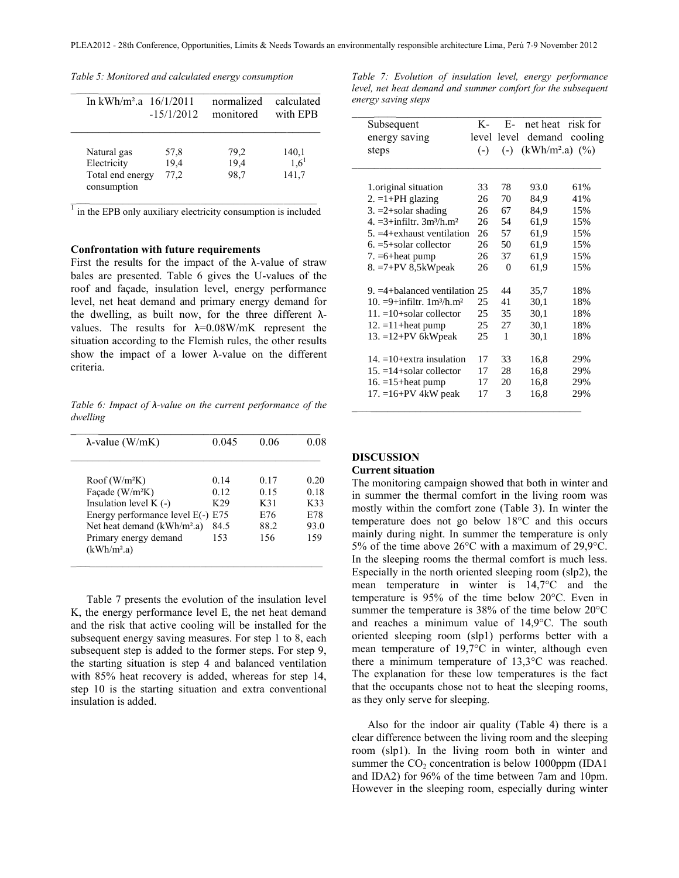*Table 5: Monitored and calculated energy consumption*

| In $kWh/m^2$ a $16/1/2011$      | $-15/1/2012$ | normalized<br>monitored | calculated<br>with EPB |  |
|---------------------------------|--------------|-------------------------|------------------------|--|
| Natural gas                     | 57,8         | 79.2                    | 140,1                  |  |
| Electricity                     | 19,4         | 19,4                    | $1,6^1$                |  |
| Total end energy<br>consumption | 77,2         | 98,7                    | 141,7                  |  |

 $\overline{1}$  in the EPB only auxiliary electricity consumption is included

# **Confrontation with future requirements**

First the results for the impact of the  $\lambda$ -value of straw bales are presented. Table 6 gives the U-values of the roof and façade, insulation level, energy performance level, net heat demand and primary energy demand for the dwelling, as built now, for the three different  $\lambda$ values. The results for  $\lambda = 0.08$ W/mK represent the situation according to the Flemish rules, the other results show the impact of a lower  $\lambda$ -value on the different criteria.

*Table 6: Impact of λ-value on the current performance of the dwelling*

| $\lambda$ -value (W/mK)                          | 0.045 | 0.06 | 0.08 |
|--------------------------------------------------|-------|------|------|
| $Root(W/m^2K)$                                   | 0.14  | 0.17 | 0.20 |
| Façade (W/m <sup>2</sup> K)                      | 0.12  | 0.15 | 0.18 |
| Insulation level $K(-)$                          | K29   | K31  | K33  |
| Energy performance level E(-) E75                |       | E76  | E78  |
| Net heat demand (kWh/m <sup>2</sup> .a)          | 84.5  | 88.2 | 93.0 |
| Primary energy demand<br>(kWh/m <sup>2</sup> .a) | 153   | 156  | 159  |

Table 7 presents the evolution of the insulation level K, the energy performance level E, the net heat demand and the risk that active cooling will be installed for the subsequent energy saving measures. For step 1 to 8, each subsequent step is added to the former steps. For step 9, the starting situation is step 4 and balanced ventilation with 85% heat recovery is added, whereas for step 14, step 10 is the starting situation and extra conventional insulation is added.

*Table 7: Evolution of insulation level, energy performance level, net heat demand and summer comfort for the subsequent energy saving steps*

| Subsequent                                  | K-    |             | E- net heat risk for |                |
|---------------------------------------------|-------|-------------|----------------------|----------------|
| energy saving                               |       | level level |                      | demand cooling |
| steps                                       | $(-)$ | $(-)$       | $(kWh/m^2.a)$ (%)    |                |
| 1. original situation                       | 33    | 78          | 93.0                 | 61%            |
| $2. = 1+PH$ glazing                         | 26    | 70          | 84,9                 | 41%            |
| $3. =2 + solar shading$                     | 26    | 67          | 84,9                 | 15%            |
| $4 = 3 + infiltr$ . $3m^3/h$ m <sup>2</sup> | 26    | 54          | 61,9                 | 15%            |
| $5. = 4 +$ exhaust ventilation              | 26    | 57          | 61,9                 | 15%            |
| $6. = 5 +$ solar collector                  | 26    | 50          | 61.9                 | 15%            |
| $7. = 6 + heat$ pump                        | 26    | 37          | 61,9                 | 15%            |
| $8. = 7 + PV$ 8,5kWpeak                     | 26    | $\Omega$    | 61,9                 | 15%            |
| 9. $=4+$ balanced ventilation 25            |       | 44          | 35,7                 | 18%            |
| $10. = 9 + infiltr. 1m3/h.m2$               | 25    | 41          | 30,1                 | 18%            |
| $11. = 10+$ solar collector                 | 25    | 35          | 30,1                 | 18%            |
| $12. = 11 + heat pump$                      | 25    | 27          | 30,1                 | 18%            |
| $13. = 12 + PV$ 6kWpeak                     | 25    | 1           | 30.1                 | 18%            |
| $14. = 10 + \text{extra}$ insulation        | 17    | 33          | 16,8                 | 29%            |
| $15. = 14 + solar$ collector                | 17    | 28          | 16,8                 | 29%            |
| 16. $=15$ +heat pump                        | 17    | 20          | 16,8                 | 29%            |
| 17. $=16+PV$ 4kW peak                       | 17    | 3           | 16,8                 | 29%            |

# **DISCUSSION**

# **Current situation**

The monitoring campaign showed that both in winter and in summer the thermal comfort in the living room was mostly within the comfort zone (Table 3). In winter the temperature does not go below 18°C and this occurs mainly during night. In summer the temperature is only 5% of the time above 26°C with a maximum of 29,9°C. In the sleeping rooms the thermal comfort is much less. Especially in the north oriented sleeping room (slp2), the mean temperature in winter is 14,7°C and the temperature is 95% of the time below 20°C. Even in summer the temperature is 38% of the time below 20°C and reaches a minimum value of 14,9°C. The south oriented sleeping room (slp1) performs better with a mean temperature of 19,7°C in winter, although even there a minimum temperature of 13,3°C was reached. The explanation for these low temperatures is the fact that the occupants chose not to heat the sleeping rooms, as they only serve for sleeping.

Also for the indoor air quality (Table 4) there is a clear difference between the living room and the sleeping room (slp1). In the living room both in winter and summer the  $CO<sub>2</sub>$  concentration is below 1000ppm (IDA1) and IDA2) for 96% of the time between 7am and 10pm. However in the sleeping room, especially during winter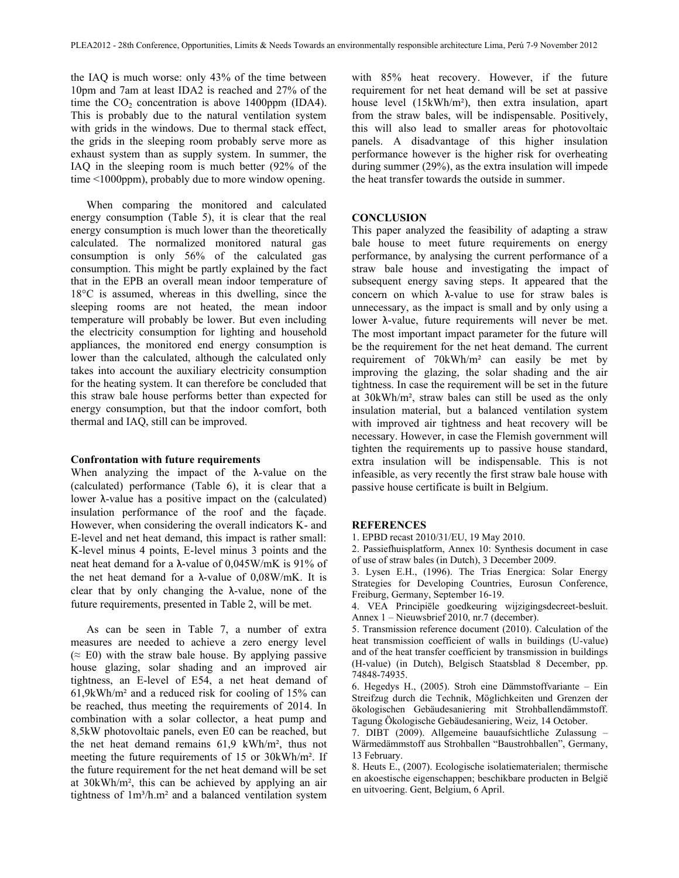the IAQ is much worse: only 43% of the time between 10pm and 7am at least IDA2 is reached and 27% of the time the  $CO<sub>2</sub>$  concentration is above 1400ppm (IDA4). This is probably due to the natural ventilation system with grids in the windows. Due to thermal stack effect, the grids in the sleeping room probably serve more as exhaust system than as supply system. In summer, the IAQ in the sleeping room is much better (92% of the time <1000ppm), probably due to more window opening.

When comparing the monitored and calculated energy consumption (Table 5), it is clear that the real energy consumption is much lower than the theoretically calculated. The normalized monitored natural gas consumption is only 56% of the calculated gas consumption. This might be partly explained by the fact that in the EPB an overall mean indoor temperature of 18°C is assumed, whereas in this dwelling, since the sleeping rooms are not heated, the mean indoor temperature will probably be lower. But even including the electricity consumption for lighting and household appliances, the monitored end energy consumption is lower than the calculated, although the calculated only takes into account the auxiliary electricity consumption for the heating system. It can therefore be concluded that this straw bale house performs better than expected for energy consumption, but that the indoor comfort, both thermal and IAQ, still can be improved.

#### **Confrontation with future requirements**

When analyzing the impact of the λ-value on the (calculated) performance (Table 6), it is clear that a lower λ-value has a positive impact on the (calculated) insulation performance of the roof and the façade. However, when considering the overall indicators K- and E-level and net heat demand, this impact is rather small: K-level minus 4 points, E-level minus 3 points and the neat heat demand for a λ-value of 0,045W/mK is 91% of the net heat demand for a λ-value of  $0.08W/mK$ . It is clear that by only changing the  $\lambda$ -value, none of the future requirements, presented in Table 2, will be met.

As can be seen in Table 7, a number of extra measures are needed to achieve a zero energy level  $(\approx E0)$  with the straw bale house. By applying passive house glazing, solar shading and an improved air tightness, an E-level of E54, a net heat demand of 61,9kWh/m² and a reduced risk for cooling of 15% can be reached, thus meeting the requirements of 2014. In combination with a solar collector, a heat pump and 8,5kW photovoltaic panels, even E0 can be reached, but the net heat demand remains 61,9 kWh/m², thus not meeting the future requirements of 15 or 30kWh/m². If the future requirement for the net heat demand will be set at 30kWh/m², this can be achieved by applying an air tightness of  $1m<sup>3</sup>/h.m<sup>2</sup>$  and a balanced ventilation system with 85% heat recovery. However, if the future requirement for net heat demand will be set at passive house level (15kWh/m²), then extra insulation, apart from the straw bales, will be indispensable. Positively, this will also lead to smaller areas for photovoltaic panels. A disadvantage of this higher insulation performance however is the higher risk for overheating during summer (29%), as the extra insulation will impede the heat transfer towards the outside in summer.

#### **CONCLUSION**

This paper analyzed the feasibility of adapting a straw bale house to meet future requirements on energy performance, by analysing the current performance of a straw bale house and investigating the impact of subsequent energy saving steps. It appeared that the concern on which λ-value to use for straw bales is unnecessary, as the impact is small and by only using a lower λ-value, future requirements will never be met. The most important impact parameter for the future will be the requirement for the net heat demand. The current requirement of 70kWh/m² can easily be met by improving the glazing, the solar shading and the air tightness. In case the requirement will be set in the future at 30kWh/m², straw bales can still be used as the only insulation material, but a balanced ventilation system with improved air tightness and heat recovery will be necessary. However, in case the Flemish government will tighten the requirements up to passive house standard, extra insulation will be indispensable. This is not infeasible, as very recently the first straw bale house with passive house certificate is built in Belgium.

# **REFERENCES**

1. EPBD recast 2010/31/EU, 19 May 2010.

2. Passiefhuisplatform, Annex 10: Synthesis document in case of use of straw bales (in Dutch), 3 December 2009.

3. Lysen E.H., (1996). The Trias Energica: Solar Energy Strategies for Developing Countries, Eurosun Conference, Freiburg, Germany, September 16-19.

4. VEA Principiële goedkeuring wijzigingsdecreet-besluit. Annex 1 – Nieuwsbrief 2010, nr.7 (december).

5. Transmission reference document (2010). Calculation of the heat transmission coefficient of walls in buildings (U-value) and of the heat transfer coefficient by transmission in buildings (H-value) (in Dutch), Belgisch Staatsblad 8 December, pp. 74848-74935.

6. Hegedys H., (2005). Stroh eine Dämmstoffvariante – Ein Streifzug durch die Technik, Möglichkeiten und Grenzen der ökologischen Gebäudesaniering mit Strohballendämmstoff. Tagung Ökologische Gebäudesaniering, Weiz, 14 October.

7. DIBT (2009). Allgemeine bauaufsichtliche Zulassung – Wärmedämmstoff aus Strohballen "Baustrohballen", Germany, 13 February.

8. Heuts E., (2007). Ecologische isolatiematerialen; thermische en akoestische eigenschappen; beschikbare producten in België en uitvoering. Gent, Belgium, 6 April.